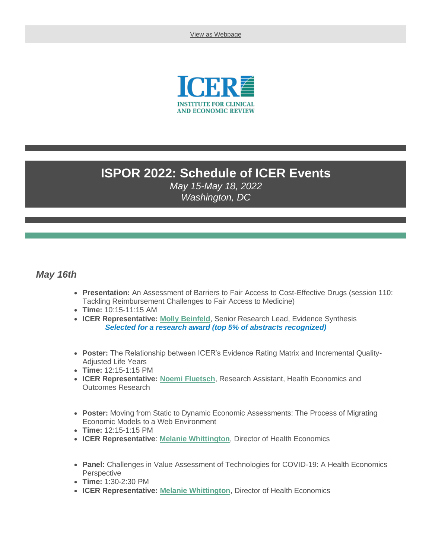[View as Webpage](https://campaignlp.constantcontact.com/em/1115682120931/e9c9612a-e254-4de9-aef6-41e63f07772d)



## **ISPOR 2022: Schedule of ICER Events**

*May 15-May 18, 2022 Washington, DC*

## *May 16th*

- **Presentation:** An Assessment of Barriers to Fair Access to Cost-Effective Drugs (session 110: Tackling Reimbursement Challenges to Fair Access to Medicine)
- **Time:** 10:15-11:15 AM
- **ICER Representative: [Molly Beinfeld](https://icer.org/who-we-are/people/molly-beinfeld-mph/)**, Senior Research Lead, Evidence Synthesis *Selected for a research award (top 5% of abstracts recognized)*
- **Poster:** The Relationship between ICER's Evidence Rating Matrix and Incremental Quality-Adjusted Life Years
- **Time:** 12:15-1:15 PM
- **ICER Representative: [Noemi Fluetsch](https://icer.org/who-we-are/people/leadership-staff/noemi-fluetsch-mph/)**, Research Assistant, Health Economics and Outcomes Research
- **Poster:** Moving from Static to Dynamic Economic Assessments: The Process of Migrating Economic Models to a Web Environment
- **Time:** 12:15-1:15 PM
- **ICER Representative**: **[Melanie Whittington](https://icer.org/who-we-are/people/leadership-staff/melanie-whittington/)**, Director of Health Economics
- **Panel:** Challenges in Value Assessment of Technologies for COVID-19: A Health Economics **Perspective**
- **Time:** 1:30-2:30 PM
- **ICER Representative: [Melanie Whittington](https://icer.org/who-we-are/people/leadership-staff/melanie-whittington/)**, Director of Health Economics